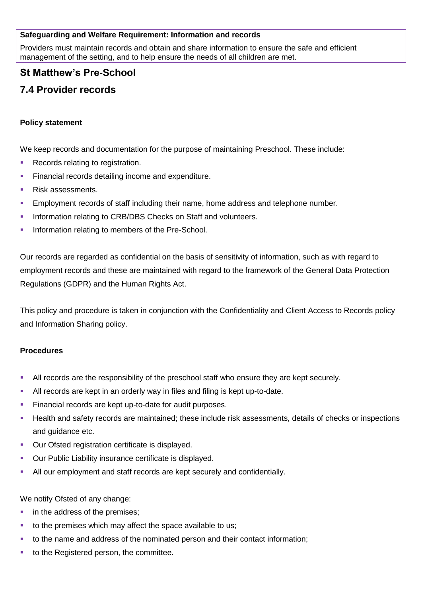### **Safeguarding and Welfare Requirement: Information and records**

Providers must maintain records and obtain and share information to ensure the safe and efficient management of the setting, and to help ensure the needs of all children are met.

## **St Matthew's Pre-School**

# **7.4 Provider records**

### **Policy statement**

We keep records and documentation for the purpose of maintaining Preschool. These include:

- Records relating to registration.
- **Financial records detailing income and expenditure.**
- Risk assessments.
- Employment records of staff including their name, home address and telephone number.
- **Information relating to CRB/DBS Checks on Staff and volunteers.**
- **Information relating to members of the Pre-School.**

Our records are regarded as confidential on the basis of sensitivity of information, such as with regard to employment records and these are maintained with regard to the framework of the General Data Protection Regulations (GDPR) and the Human Rights Act.

This policy and procedure is taken in conjunction with the Confidentiality and Client Access to Records policy and Information Sharing policy.

#### **Procedures**

- All records are the responsibility of the preschool staff who ensure they are kept securely.
- All records are kept in an orderly way in files and filing is kept up-to-date.
- **Financial records are kept up-to-date for audit purposes.**
- Health and safety records are maintained; these include risk assessments, details of checks or inspections and guidance etc.
- Our Ofsted registration certificate is displayed.
- **Our Public Liability insurance certificate is displayed.**
- All our employment and staff records are kept securely and confidentially.

We notify Ofsted of any change:

- in the address of the premises;
- to the premises which may affect the space available to us;
- to the name and address of the nominated person and their contact information;
- to the Registered person, the committee.